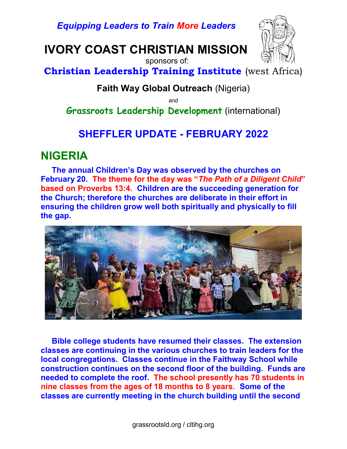Equipping Leaders to Train More Leaders

# IVORY COAST CHRISTIAN MISSION



sponsors of:

Christian Leadership Training Institute (west Africa)

### Faith Way Global Outreach (Nigeria)

and

Grassroots Leadership Development (international)

# SHEFFLER UPDATE - FEBRUARY 2022

### NIGERIA

 The annual Children's Day was observed by the churches on February 20. The theme for the day was "The Path of a Diligent Child" based on Proverbs 13:4. Children are the succeeding generation for the Church; therefore the churches are deliberate in their effort in ensuring the children grow well both spiritually and physically to fill the gap.



 Bible college students have resumed their classes. The extension classes are continuing in the various churches to train leaders for the local congregations. Classes continue in the Faithway School while construction continues on the second floor of the building. Funds are needed to complete the roof. The school presently has 70 students in nine classes from the ages of 18 months to 8 years. Some of the classes are currently meeting in the church building until the second